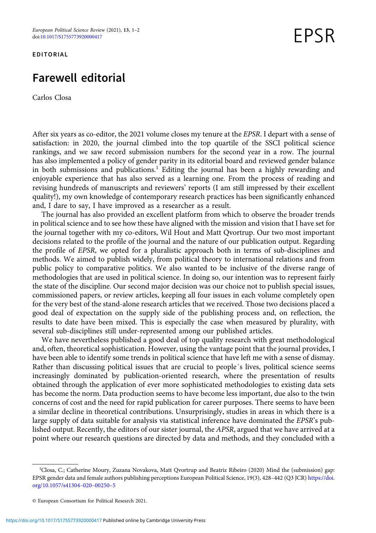EDITORIAL

## Farewell editorial

Carlos Closa

FPSR

After six years as co-editor, the 2021 volume closes my tenure at the EPSR. I depart with a sense of satisfaction: in 2020, the journal climbed into the top quartile of the SSCI political science rankings, and we saw record submission numbers for the second year in a row. The journal has also implemented a policy of gender parity in its editorial board and reviewed gender balance in both submissions and publications.<sup>1</sup> Editing the journal has been a highly rewarding and enjoyable experience that has also served as a learning one. From the process of reading and revising hundreds of manuscripts and reviewers' reports (I am still impressed by their excellent quality!), my own knowledge of contemporary research practices has been significantly enhanced and, I dare to say, I have improved as a researcher as a result.

The journal has also provided an excellent platform from which to observe the broader trends in political science and to see how these have aligned with the mission and vision that I have set for the journal together with my co-editors, Wil Hout and Matt Qvortrup. Our two most important decisions related to the profile of the journal and the nature of our publication output. Regarding the profile of EPSR, we opted for a pluralistic approach both in terms of sub-disciplines and methods. We aimed to publish widely, from political theory to international relations and from public policy to comparative politics. We also wanted to be inclusive of the diverse range of methodologies that are used in political science. In doing so, our intention was to represent fairly the state of the discipline. Our second major decision was our choice not to publish special issues, commissioned papers, or review articles, keeping all four issues in each volume completely open for the very best of the stand-alone research articles that we received. Those two decisions placed a good deal of expectation on the supply side of the publishing process and, on reflection, the results to date have been mixed. This is especially the case when measured by plurality, with several sub-disciplines still under-represented among our published articles.

We have nevertheless published a good deal of top quality research with great methodological and, often, theoretical sophistication. However, using the vantage point that the journal provides, I have been able to identify some trends in political science that have left me with a sense of dismay. Rather than discussing political issues that are crucial to people´s lives, political science seems increasingly dominated by publication-oriented research, where the presentation of results obtained through the application of ever more sophisticated methodologies to existing data sets has become the norm. Data production seems to have become less important, due also to the twin concerns of cost and the need for rapid publication for career purposes. There seems to have been a similar decline in theoretical contributions. Unsurprisingly, studies in areas in which there is a large supply of data suitable for analysis via statistical inference have dominated the EPSR's published output. Recently, the editors of our sister journal, the APSR, argued that we have arrived at a point where our research questions are directed by data and methods, and they concluded with a

<sup>&</sup>lt;sup>1</sup>Closa, C.; Catherine Moury, Zuzana Novakova, Matt Qvortrup and Beatriz Ribeiro (2020) Mind the (submission) gap: EPSR gender data and female authors publishing perceptions European Political Science, 19(3), 428–442 (Q3 JCR) [https://doi.](https://doi.org/10.1057/s41304020002505) [org/10.1057/s41304](https://doi.org/10.1057/s41304020002505)–020–00250–5

<sup>©</sup> European Consortium for Political Research 2021.